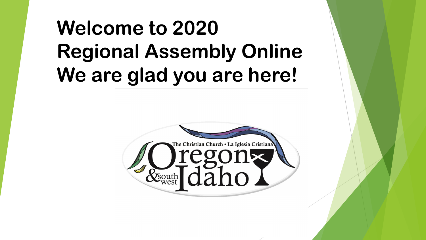# **Welcome to 2020 Regional Assembly Online We are glad you are here!**

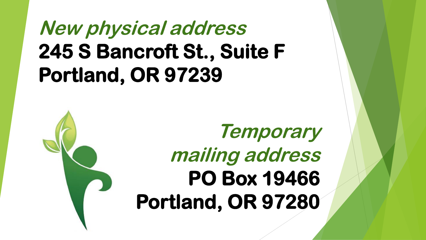# **New physical address 245 S Bancroft St., Suite F Portland, OR 97239**

**Temporary mailing address PO Box 19466 Portland, OR 97280**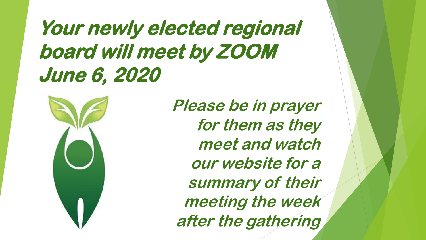# **Your newly elected regional board will meet by ZOOM June 6, 2020**



**Please be in prayer for them as they meet and watch our website for a summary of their meeting the week after the gathering**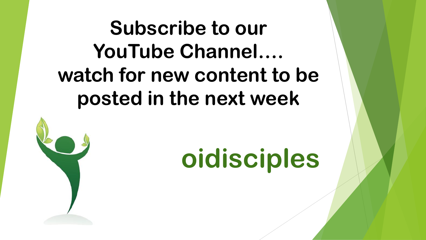# **Subscribe to our YouTube Channel…. watch for new content to be posted in the next week**



**oidisciples**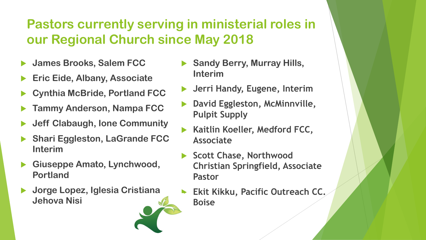#### **Pastors currently serving in ministerial roles in our Regional Church since May 2018**

- **James Brooks, Salem FCC**
- **Eric Eide, Albany, Associate**
- **Cynthia McBride, Portland FCC**
- **Tammy Anderson, Nampa FCC**
- **Jeff Clabaugh, Ione Community**
- **Shari Eggleston, LaGrande FCC Interim**
- **Giuseppe Amato, Lynchwood, Portland**
- **Jorge Lopez, Iglesia Cristiana Jehova Nisi**



**Interim**

 **Kaitlin Koeller, Medford FCC, Associate** 

**Sandy Berry, Murray Hills,** 

- **Scott Chase, Northwood Christian Springfield, Associate Pastor**
- **Ekit Kikku, Pacific Outreach CC. Boise**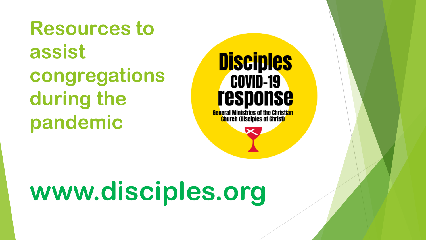**Resources to assist congregations during the pandemic** 

## **Disciples COVID-19 response**

**General Ministries of the Christian Church (Disciples of Christ)** 

# **www.disciples.org**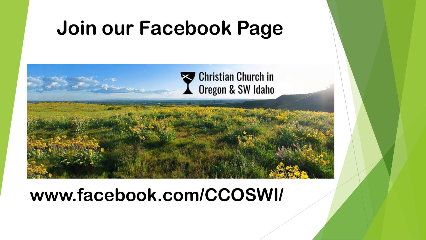## **Join our Facebook Page**



### **www.facebook.com/CCOSWI/**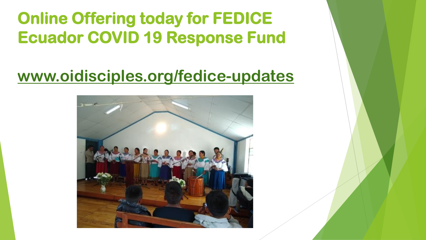**Online Offering today for FEDICE Ecuador COVID 19 Response Fund**

### **[www.oidisciples.org/fedice-updates](http://www.oidisciples.org/fedice-updates)**

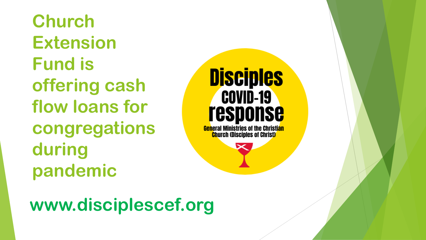**Church Extension Fund is offering cash flow loans for congregations during pandemic**

**Disciples COVID-19 response** <mark>Gen</mark>eral Ministries of the Christi<mark>an</mark>

**Church (Disciples of Christ)** 

**www.disciplescef.org**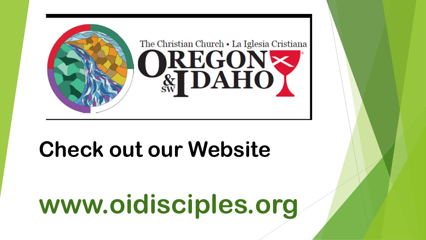

## **Check out our Website**

# **www.oidisciples.org**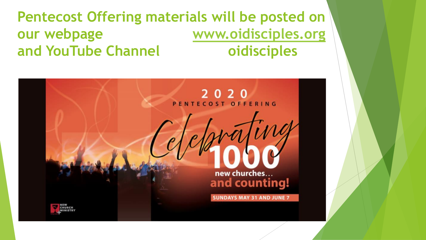#### **Pentecost Offering materials will be posted on our webpage [www.oidisciples.org](http://www.oidisciples.org/) and YouTube Channel oidisciples**